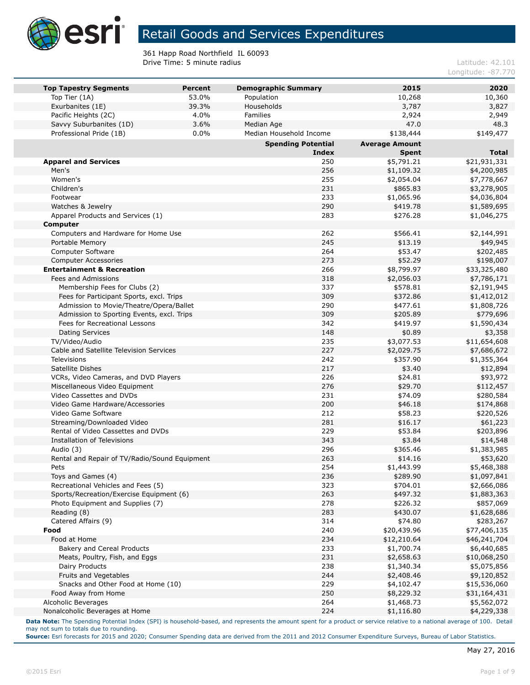

361 Happ Road Northfield IL 60093 **Drive Time: 5 minute radius Latitude: 42.101** 

Longitude: -87.770

| <b>Top Tapestry Segments</b>                  | <b>Percent</b> | <b>Demographic Summary</b> | 2015                  | 2020         |
|-----------------------------------------------|----------------|----------------------------|-----------------------|--------------|
| Top Tier (1A)                                 | 53.0%          | Population                 | 10,268                | 10,360       |
| Exurbanites (1E)                              | 39.3%          | Households                 | 3,787                 | 3,827        |
| Pacific Heights (2C)                          | 4.0%           | Families                   | 2,924                 | 2,949        |
| Savvy Suburbanites (1D)                       | 3.6%           | Median Age                 | 47.0                  | 48.3         |
| Professional Pride (1B)                       | $0.0\%$        | Median Household Income    | \$138,444             | \$149,477    |
|                                               |                | <b>Spending Potential</b>  | <b>Average Amount</b> |              |
|                                               |                | <b>Index</b>               | <b>Spent</b>          | <b>Total</b> |
| <b>Apparel and Services</b>                   |                | 250                        | \$5,791.21            | \$21,931,331 |
| Men's                                         |                | 256                        | \$1,109.32            | \$4,200,985  |
| Women's                                       |                | 255                        | \$2,054.04            | \$7,778,667  |
| Children's                                    |                | 231                        | \$865.83              | \$3,278,905  |
| Footwear                                      |                | 233                        | \$1,065.96            | \$4,036,804  |
| Watches & Jewelry                             |                | 290                        | \$419.78              | \$1,589,695  |
| Apparel Products and Services (1)             |                | 283                        | \$276.28              | \$1,046,275  |
| Computer                                      |                |                            |                       |              |
| Computers and Hardware for Home Use           |                | 262                        | \$566.41              | \$2,144,991  |
| Portable Memory                               |                | 245                        | \$13.19               | \$49,945     |
| <b>Computer Software</b>                      |                | 264                        | \$53.47               | \$202,485    |
| <b>Computer Accessories</b>                   |                | 273                        | \$52.29               | \$198,007    |
| <b>Entertainment &amp; Recreation</b>         |                | 266                        | \$8,799.97            | \$33,325,480 |
| Fees and Admissions                           |                | 318                        | \$2,056.03            | \$7,786,171  |
| Membership Fees for Clubs (2)                 |                | 337                        | \$578.81              | \$2,191,945  |
| Fees for Participant Sports, excl. Trips      |                | 309                        | \$372.86              | \$1,412,012  |
| Admission to Movie/Theatre/Opera/Ballet       |                | 290                        | \$477.61              | \$1,808,726  |
| Admission to Sporting Events, excl. Trips     |                | 309                        | \$205.89              | \$779,696    |
| Fees for Recreational Lessons                 |                | 342                        | \$419.97              | \$1,590,434  |
| <b>Dating Services</b>                        |                | 148                        | \$0.89                | \$3,358      |
| TV/Video/Audio                                |                | 235                        | \$3,077.53            | \$11,654,608 |
| Cable and Satellite Television Services       |                | 227                        | \$2,029.75            | \$7,686,672  |
| <b>Televisions</b>                            |                | 242                        | \$357.90              | \$1,355,364  |
| Satellite Dishes                              |                | 217                        | \$3.40                | \$12,894     |
| VCRs, Video Cameras, and DVD Players          |                | 226                        | \$24.81               | \$93,972     |
| Miscellaneous Video Equipment                 |                | 276                        | \$29.70               | \$112,457    |
| Video Cassettes and DVDs                      |                | 231                        | \$74.09               | \$280,584    |
| Video Game Hardware/Accessories               |                | 200                        | \$46.18               | \$174,868    |
| Video Game Software                           |                | 212                        | \$58.23               | \$220,526    |
| Streaming/Downloaded Video                    |                | 281                        | \$16.17               | \$61,223     |
| Rental of Video Cassettes and DVDs            |                | 229                        | \$53.84               | \$203,896    |
| Installation of Televisions                   |                | 343                        | \$3.84                | \$14,548     |
| Audio (3)                                     |                | 296                        | \$365.46              | \$1,383,985  |
| Rental and Repair of TV/Radio/Sound Equipment |                | 263                        | \$14.16               | \$53,620     |
| Pets                                          |                | 254                        | \$1,443.99            | \$5,468,388  |
| Toys and Games (4)                            |                | 236                        | \$289.90              | \$1,097,841  |
| Recreational Vehicles and Fees (5)            |                | 323                        | \$704.01              | \$2,666,086  |
| Sports/Recreation/Exercise Equipment (6)      |                | 263                        | \$497.32              | \$1,883,363  |
| Photo Equipment and Supplies (7)              |                | 278                        | \$226.32              | \$857,069    |
| Reading (8)                                   |                | 283                        | \$430.07              | \$1,628,686  |
| Catered Affairs (9)                           |                | 314                        | \$74.80               | \$283,267    |
| Food                                          |                | 240                        | \$20,439.96           | \$77,406,135 |
| Food at Home                                  |                | 234                        | \$12,210.64           | \$46,241,704 |
| Bakery and Cereal Products                    |                | 233                        | \$1,700.74            | \$6,440,685  |
| Meats, Poultry, Fish, and Eggs                |                | 231                        | \$2,658.63            | \$10,068,250 |
| Dairy Products                                |                | 238                        | \$1,340.34            | \$5,075,856  |
| Fruits and Vegetables                         |                | 244                        | \$2,408.46            | \$9,120,852  |
| Snacks and Other Food at Home (10)            |                | 229                        | \$4,102.47            | \$15,536,060 |
| Food Away from Home                           |                | 250                        | \$8,229.32            | \$31,164,431 |
| Alcoholic Beverages                           |                | 264                        | \$1,468.73            | \$5,562,072  |
| Nonalcoholic Beverages at Home                |                | 224                        | \$1,116.80            | \$4,229,338  |

**Data Note:** The Spending Potential Index (SPI) is household-based, and represents the amount spent for a product or service relative to a national average of 100. Detail may not sum to totals due to rounding.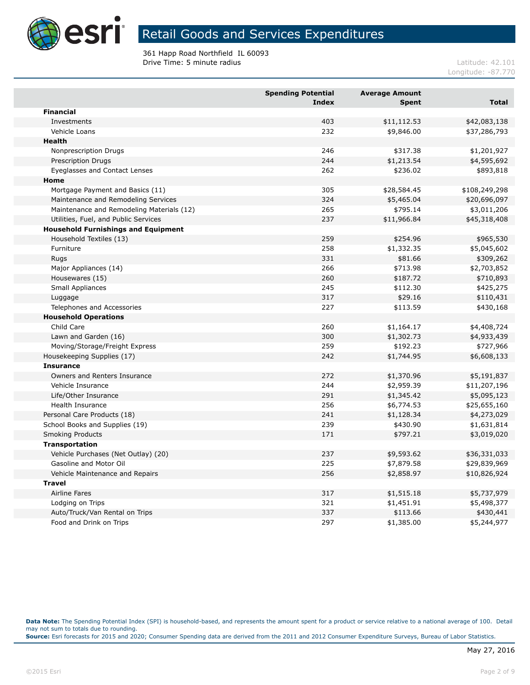

361 Happ Road Northfield IL 60093 **Drive Time: 5 minute radius Latitude: 42.101** 

Longitude: -87.770

|                                            | <b>Spending Potential</b><br><b>Index</b> | <b>Average Amount</b><br><b>Spent</b> | <b>Total</b>  |
|--------------------------------------------|-------------------------------------------|---------------------------------------|---------------|
| <b>Financial</b>                           |                                           |                                       |               |
| Investments                                | 403                                       | \$11,112.53                           | \$42,083,138  |
| Vehicle Loans                              | 232                                       | \$9,846.00                            | \$37,286,793  |
| <b>Health</b>                              |                                           |                                       |               |
| Nonprescription Drugs                      | 246                                       | \$317.38                              | \$1,201,927   |
| <b>Prescription Drugs</b>                  | 244                                       | \$1,213.54                            | \$4,595,692   |
| Eyeglasses and Contact Lenses              | 262                                       | \$236.02                              | \$893,818     |
| Home                                       |                                           |                                       |               |
| Mortgage Payment and Basics (11)           | 305                                       | \$28,584.45                           | \$108,249,298 |
| Maintenance and Remodeling Services        | 324                                       | \$5,465.04                            | \$20,696,097  |
| Maintenance and Remodeling Materials (12)  | 265                                       | \$795.14                              | \$3,011,206   |
| Utilities, Fuel, and Public Services       | 237                                       | \$11,966.84                           | \$45,318,408  |
| <b>Household Furnishings and Equipment</b> |                                           |                                       |               |
| Household Textiles (13)                    | 259                                       | \$254.96                              | \$965,530     |
| Furniture                                  | 258                                       | \$1,332.35                            | \$5,045,602   |
| Rugs                                       | 331                                       | \$81.66                               | \$309,262     |
| Major Appliances (14)                      | 266                                       | \$713.98                              | \$2,703,852   |
| Housewares (15)                            | 260                                       | \$187.72                              | \$710,893     |
| Small Appliances                           | 245                                       | \$112.30                              | \$425,275     |
| Luggage                                    | 317                                       | \$29.16                               | \$110,431     |
| Telephones and Accessories                 | 227                                       | \$113.59                              | \$430,168     |
| <b>Household Operations</b>                |                                           |                                       |               |
| Child Care                                 | 260                                       | \$1,164.17                            | \$4,408,724   |
| Lawn and Garden (16)                       | 300                                       | \$1,302.73                            | \$4,933,439   |
| Moving/Storage/Freight Express             | 259                                       | \$192.23                              | \$727,966     |
| Housekeeping Supplies (17)                 | 242                                       | \$1,744.95                            | \$6,608,133   |
| <b>Insurance</b>                           |                                           |                                       |               |
| Owners and Renters Insurance               | 272                                       | \$1,370.96                            | \$5,191,837   |
| Vehicle Insurance                          | 244                                       | \$2,959.39                            | \$11,207,196  |
| Life/Other Insurance                       | 291                                       | \$1,345.42                            | \$5,095,123   |
| Health Insurance                           | 256                                       | \$6,774.53                            | \$25,655,160  |
| Personal Care Products (18)                | 241                                       | \$1,128.34                            | \$4,273,029   |
| School Books and Supplies (19)             | 239                                       | \$430.90                              | \$1,631,814   |
| <b>Smoking Products</b>                    | 171                                       | \$797.21                              | \$3,019,020   |
| Transportation                             |                                           |                                       |               |
| Vehicle Purchases (Net Outlay) (20)        | 237                                       | \$9,593.62                            | \$36,331,033  |
| Gasoline and Motor Oil                     | 225                                       | \$7,879.58                            | \$29,839,969  |
| Vehicle Maintenance and Repairs            | 256                                       | \$2,858.97                            | \$10,826,924  |
| <b>Travel</b>                              |                                           |                                       |               |
| <b>Airline Fares</b>                       | 317                                       | \$1,515.18                            | \$5,737,979   |
| Lodging on Trips                           | 321                                       | \$1,451.91                            | \$5,498,377   |
| Auto/Truck/Van Rental on Trips             | 337                                       | \$113.66                              | \$430,441     |
| Food and Drink on Trips                    | 297                                       | \$1,385.00                            | \$5,244,977   |

**Data Note:** The Spending Potential Index (SPI) is household-based, and represents the amount spent for a product or service relative to a national average of 100. Detail may not sum to totals due to rounding.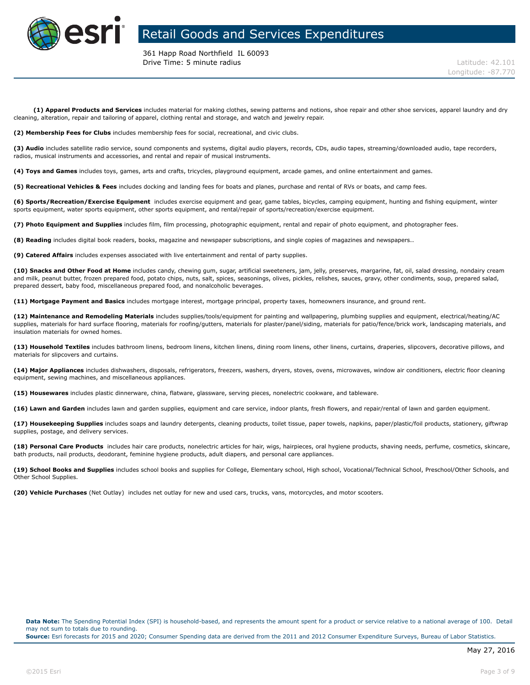

361 Happ Road Northfield IL 60093 **Drive Time: 5 minute radius Latitude: 42.101** 

**(1) Apparel Products and Services** includes material for making clothes, sewing patterns and notions, shoe repair and other shoe services, apparel laundry and dry cleaning, alteration, repair and tailoring of apparel, clothing rental and storage, and watch and jewelry repair.

**(2) Membership Fees for Clubs** includes membership fees for social, recreational, and civic clubs.

**(3) Audio** includes satellite radio service, sound components and systems, digital audio players, records, CDs, audio tapes, streaming/downloaded audio, tape recorders, radios, musical instruments and accessories, and rental and repair of musical instruments.

**(4) Toys and Games** includes toys, games, arts and crafts, tricycles, playground equipment, arcade games, and online entertainment and games.

**(5) Recreational Vehicles & Fees** includes docking and landing fees for boats and planes, purchase and rental of RVs or boats, and camp fees.

**(6) Sports/Recreation/Exercise Equipment** includes exercise equipment and gear, game tables, bicycles, camping equipment, hunting and fishing equipment, winter sports equipment, water sports equipment, other sports equipment, and rental/repair of sports/recreation/exercise equipment.

**(7) Photo Equipment and Supplies** includes film, film processing, photographic equipment, rental and repair of photo equipment, and photographer fees.

**(8) Reading** includes digital book readers, books, magazine and newspaper subscriptions, and single copies of magazines and newspapers..

**(9) Catered Affairs** includes expenses associated with live entertainment and rental of party supplies.

**(10) Snacks and Other Food at Home** includes candy, chewing gum, sugar, artificial sweeteners, jam, jelly, preserves, margarine, fat, oil, salad dressing, nondairy cream and milk, peanut butter, frozen prepared food, potato chips, nuts, salt, spices, seasonings, olives, pickles, relishes, sauces, gravy, other condiments, soup, prepared salad, prepared dessert, baby food, miscellaneous prepared food, and nonalcoholic beverages.

**(11) Mortgage Payment and Basics** includes mortgage interest, mortgage principal, property taxes, homeowners insurance, and ground rent.

**(12) Maintenance and Remodeling Materials** includes supplies/tools/equipment for painting and wallpapering, plumbing supplies and equipment, electrical/heating/AC supplies, materials for hard surface flooring, materials for roofing/gutters, materials for plaster/panel/siding, materials for patio/fence/brick work, landscaping materials, and insulation materials for owned homes.

**(13) Household Textiles** includes bathroom linens, bedroom linens, kitchen linens, dining room linens, other linens, curtains, draperies, slipcovers, decorative pillows, and materials for slipcovers and curtains.

**(14) Major Appliances** includes dishwashers, disposals, refrigerators, freezers, washers, dryers, stoves, ovens, microwaves, window air conditioners, electric floor cleaning equipment, sewing machines, and miscellaneous appliances.

**(15) Housewares** includes plastic dinnerware, china, flatware, glassware, serving pieces, nonelectric cookware, and tableware.

**(16) Lawn and Garden** includes lawn and garden supplies, equipment and care service, indoor plants, fresh flowers, and repair/rental of lawn and garden equipment.

**(17) Housekeeping Supplies** includes soaps and laundry detergents, cleaning products, toilet tissue, paper towels, napkins, paper/plastic/foil products, stationery, giftwrap supplies, postage, and delivery services.

**(18) Personal Care Products** includes hair care products, nonelectric articles for hair, wigs, hairpieces, oral hygiene products, shaving needs, perfume, cosmetics, skincare, bath products, nail products, deodorant, feminine hygiene products, adult diapers, and personal care appliances.

**(19) School Books and Supplies** includes school books and supplies for College, Elementary school, High school, Vocational/Technical School, Preschool/Other Schools, and Other School Supplies.

**(20) Vehicle Purchases** (Net Outlay) includes net outlay for new and used cars, trucks, vans, motorcycles, and motor scooters.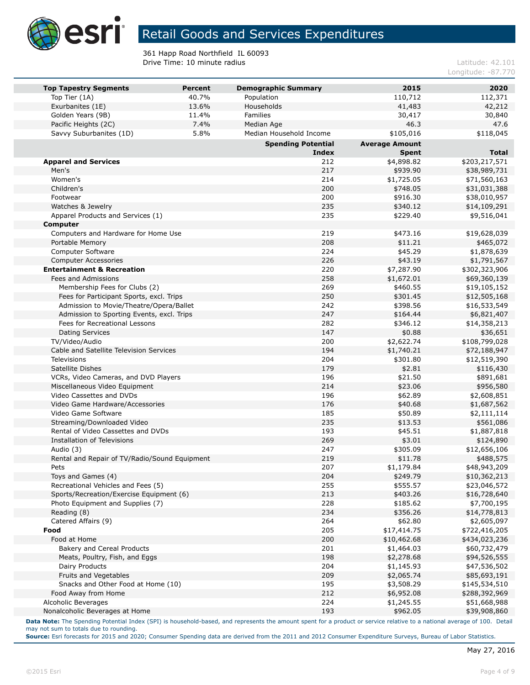

361 Happ Road Northfield IL 60093 **Drive Time: 10 minute radius Latitude: 42.101** 

Longitude: -87.770

| <b>Top Tapestry Segments</b>                             | <b>Percent</b> | <b>Demographic Summary</b> | 2015                  | 2020                        |
|----------------------------------------------------------|----------------|----------------------------|-----------------------|-----------------------------|
| Top Tier (1A)                                            | 40.7%          | Population                 | 110,712               | 112,371                     |
| Exurbanites (1E)                                         | 13.6%          | Households                 | 41,483                | 42,212                      |
| Golden Years (9B)                                        | 11.4%          | Families                   | 30,417                | 30,840                      |
| Pacific Heights (2C)                                     | 7.4%           | Median Age                 | 46.3                  | 47.6                        |
| Savvy Suburbanites (1D)                                  | 5.8%           | Median Household Income    | \$105,016             | \$118,045                   |
|                                                          |                | <b>Spending Potential</b>  | <b>Average Amount</b> |                             |
|                                                          |                | Index                      | <b>Spent</b>          | <b>Total</b>                |
| <b>Apparel and Services</b>                              |                | 212                        | \$4,898.82            | \$203,217,571               |
| Men's                                                    |                | 217                        | \$939.90              | \$38,989,731                |
| Women's                                                  |                | 214                        | \$1,725.05            | \$71,560,163                |
| Children's                                               |                | 200                        | \$748.05              | \$31,031,388                |
| Footwear                                                 |                | 200                        | \$916.30              | \$38,010,957                |
| Watches & Jewelry                                        |                | 235                        | \$340.12              | \$14,109,291                |
| Apparel Products and Services (1)                        |                | 235                        | \$229.40              | \$9,516,041                 |
| <b>Computer</b>                                          |                |                            |                       |                             |
| Computers and Hardware for Home Use                      |                | 219                        | \$473.16              | \$19,628,039                |
| Portable Memory                                          |                | 208                        | \$11.21               | \$465,072                   |
| Computer Software                                        |                | 224                        | \$45.29               | \$1,878,639                 |
| <b>Computer Accessories</b>                              |                | 226                        | \$43.19               | \$1,791,567                 |
| <b>Entertainment &amp; Recreation</b>                    |                | 220                        | \$7,287.90            | \$302,323,906               |
| Fees and Admissions                                      |                | 258                        | \$1,672.01            | \$69,360,139                |
| Membership Fees for Clubs (2)                            |                | 269                        | \$460.55              | \$19,105,152                |
| Fees for Participant Sports, excl. Trips                 |                | 250                        | \$301.45              | \$12,505,168                |
| Admission to Movie/Theatre/Opera/Ballet                  |                | 242                        | \$398.56              | \$16,533,549                |
| Admission to Sporting Events, excl. Trips                |                | 247                        | \$164.44              | \$6,821,407                 |
| Fees for Recreational Lessons                            |                | 282                        | \$346.12              | \$14,358,213                |
| <b>Dating Services</b>                                   |                | 147                        | \$0.88                | \$36,651                    |
| TV/Video/Audio                                           |                | 200                        | \$2,622.74            | \$108,799,028               |
| Cable and Satellite Television Services                  |                | 194                        | \$1,740.21            | \$72,188,947                |
| <b>Televisions</b>                                       |                | 204                        | \$301.80              | \$12,519,390                |
| Satellite Dishes                                         |                | 179                        | \$2.81                | \$116,430                   |
| VCRs, Video Cameras, and DVD Players                     |                | 196                        | \$21.50               | \$891,681                   |
| Miscellaneous Video Equipment                            |                | 214                        | \$23.06               | \$956,580                   |
| Video Cassettes and DVDs                                 |                | 196                        | \$62.89               | \$2,608,851                 |
| Video Game Hardware/Accessories                          |                | 176                        | \$40.68               | \$1,687,562                 |
| Video Game Software                                      |                | 185                        | \$50.89               | \$2,111,114                 |
| Streaming/Downloaded Video                               |                | 235                        | \$13.53               | \$561,086                   |
| Rental of Video Cassettes and DVDs                       |                | 193                        | \$45.51               | \$1,887,818                 |
| Installation of Televisions                              |                | 269                        | \$3.01                | \$124,890                   |
| Audio (3)                                                |                | 247<br>219                 | \$305.09              | \$12,656,106                |
| Rental and Repair of TV/Radio/Sound Equipment            |                |                            | \$11.78               | \$488,575                   |
| Pets                                                     |                | 207<br>204                 | \$1,179.84            | \$48,943,209                |
| Toys and Games (4)<br>Recreational Vehicles and Fees (5) |                | 255                        | \$249.79              | \$10,362,213                |
| Sports/Recreation/Exercise Equipment (6)                 |                |                            | \$555.57              | \$23,046,572                |
| Photo Equipment and Supplies (7)                         |                | 213<br>228                 | \$403.26<br>\$185.62  | \$16,728,640<br>\$7,700,195 |
| Reading (8)                                              |                | 234                        | \$356.26              | \$14,778,813                |
| Catered Affairs (9)                                      |                | 264                        | \$62.80               | \$2,605,097                 |
| Food                                                     |                | 205                        | \$17,414.75           | \$722,416,205               |
| Food at Home                                             |                | 200                        | \$10,462.68           | \$434,023,236               |
| Bakery and Cereal Products                               |                | 201                        | \$1,464.03            | \$60,732,479                |
| Meats, Poultry, Fish, and Eggs                           |                | 198                        | \$2,278.68            | \$94,526,555                |
| Dairy Products                                           |                | 204                        | \$1,145.93            | \$47,536,502                |
| Fruits and Vegetables                                    |                | 209                        | \$2,065.74            | \$85,693,191                |
| Snacks and Other Food at Home (10)                       |                | 195                        | \$3,508.29            | \$145,534,510               |
| Food Away from Home                                      |                | 212                        | \$6,952.08            | \$288,392,969               |
| Alcoholic Beverages                                      |                | 224                        | \$1,245.55            | \$51,668,988                |
| Nonalcoholic Beverages at Home                           |                | 193                        | \$962.05              | \$39,908,860                |
|                                                          |                |                            |                       |                             |

**Data Note:** The Spending Potential Index (SPI) is household-based, and represents the amount spent for a product or service relative to a national average of 100. Detail may not sum to totals due to rounding.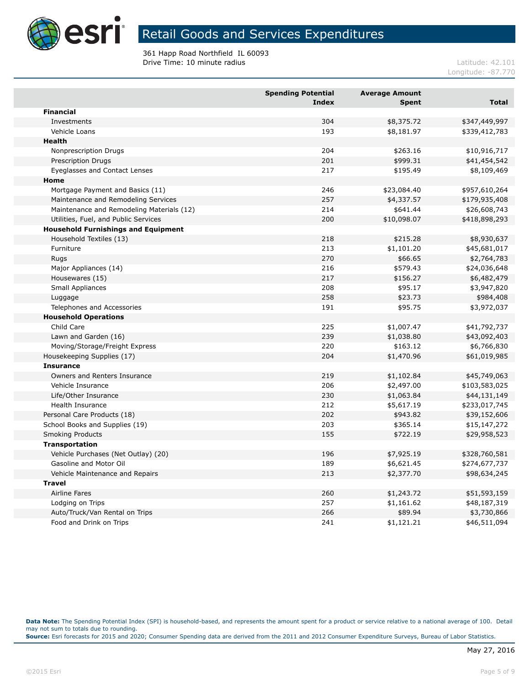

361 Happ Road Northfield IL 60093 **Drive Time: 10 minute radius Latitude: 42.101 Latitude: 42.101** 

Longitude: -87.770

|                                            | <b>Spending Potential</b><br><b>Index</b> | <b>Average Amount</b><br><b>Spent</b> | <b>Total</b>  |
|--------------------------------------------|-------------------------------------------|---------------------------------------|---------------|
| <b>Financial</b>                           |                                           |                                       |               |
| Investments                                | 304                                       | \$8,375.72                            | \$347,449,997 |
| Vehicle Loans                              | 193                                       | \$8,181.97                            | \$339,412,783 |
| <b>Health</b>                              |                                           |                                       |               |
| Nonprescription Drugs                      | 204                                       | \$263.16                              | \$10,916,717  |
| <b>Prescription Drugs</b>                  | 201                                       | \$999.31                              | \$41,454,542  |
| <b>Eyeglasses and Contact Lenses</b>       | 217                                       | \$195.49                              | \$8,109,469   |
| Home                                       |                                           |                                       |               |
| Mortgage Payment and Basics (11)           | 246                                       | \$23,084.40                           | \$957,610,264 |
| Maintenance and Remodeling Services        | 257                                       | \$4,337.57                            | \$179,935,408 |
| Maintenance and Remodeling Materials (12)  | 214                                       | \$641.44                              | \$26,608,743  |
| Utilities, Fuel, and Public Services       | 200                                       | \$10,098.07                           | \$418,898,293 |
| <b>Household Furnishings and Equipment</b> |                                           |                                       |               |
| Household Textiles (13)                    | 218                                       | \$215.28                              | \$8,930,637   |
| Furniture                                  | 213                                       | \$1,101.20                            | \$45,681,017  |
| Rugs                                       | 270                                       | \$66.65                               | \$2,764,783   |
| Major Appliances (14)                      | 216                                       | \$579.43                              | \$24,036,648  |
| Housewares (15)                            | 217                                       | \$156.27                              | \$6,482,479   |
| Small Appliances                           | 208                                       | \$95.17                               | \$3,947,820   |
| Luggage                                    | 258                                       | \$23.73                               | \$984,408     |
| Telephones and Accessories                 | 191                                       | \$95.75                               | \$3,972,037   |
| <b>Household Operations</b>                |                                           |                                       |               |
| Child Care                                 | 225                                       | \$1,007.47                            | \$41,792,737  |
| Lawn and Garden (16)                       | 239                                       | \$1,038.80                            | \$43,092,403  |
| Moving/Storage/Freight Express             | 220                                       | \$163.12                              | \$6,766,830   |
| Housekeeping Supplies (17)                 | 204                                       | \$1,470.96                            | \$61,019,985  |
| <b>Insurance</b>                           |                                           |                                       |               |
| Owners and Renters Insurance               | 219                                       | \$1,102.84                            | \$45,749,063  |
| Vehicle Insurance                          | 206                                       | \$2,497.00                            | \$103,583,025 |
| Life/Other Insurance                       | 230                                       | \$1,063.84                            | \$44,131,149  |
| <b>Health Insurance</b>                    | 212                                       | \$5,617.19                            | \$233,017,745 |
| Personal Care Products (18)                | 202                                       | \$943.82                              | \$39,152,606  |
| School Books and Supplies (19)             | 203                                       | \$365.14                              | \$15,147,272  |
| <b>Smoking Products</b>                    | 155                                       | \$722.19                              | \$29,958,523  |
| Transportation                             |                                           |                                       |               |
| Vehicle Purchases (Net Outlay) (20)        | 196                                       | \$7,925.19                            | \$328,760,581 |
| Gasoline and Motor Oil                     | 189                                       | \$6,621.45                            | \$274,677,737 |
| Vehicle Maintenance and Repairs            | 213                                       | \$2,377.70                            | \$98,634,245  |
| <b>Travel</b>                              |                                           |                                       |               |
| <b>Airline Fares</b>                       | 260                                       | \$1,243.72                            | \$51,593,159  |
| Lodging on Trips                           | 257                                       | \$1,161.62                            | \$48,187,319  |
| Auto/Truck/Van Rental on Trips             | 266                                       | \$89.94                               | \$3,730,866   |
| Food and Drink on Trips                    | 241                                       | \$1,121.21                            | \$46,511,094  |

**Data Note:** The Spending Potential Index (SPI) is household-based, and represents the amount spent for a product or service relative to a national average of 100. Detail may not sum to totals due to rounding.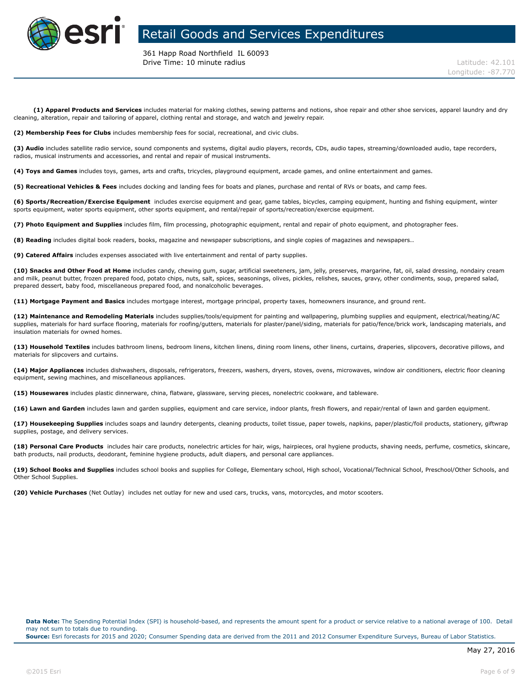

361 Happ Road Northfield IL 60093 **Drive Time: 10 minute radius Latitude: 42.101** 

**(1) Apparel Products and Services** includes material for making clothes, sewing patterns and notions, shoe repair and other shoe services, apparel laundry and dry cleaning, alteration, repair and tailoring of apparel, clothing rental and storage, and watch and jewelry repair.

**(2) Membership Fees for Clubs** includes membership fees for social, recreational, and civic clubs.

**(3) Audio** includes satellite radio service, sound components and systems, digital audio players, records, CDs, audio tapes, streaming/downloaded audio, tape recorders, radios, musical instruments and accessories, and rental and repair of musical instruments.

**(4) Toys and Games** includes toys, games, arts and crafts, tricycles, playground equipment, arcade games, and online entertainment and games.

**(5) Recreational Vehicles & Fees** includes docking and landing fees for boats and planes, purchase and rental of RVs or boats, and camp fees.

**(6) Sports/Recreation/Exercise Equipment** includes exercise equipment and gear, game tables, bicycles, camping equipment, hunting and fishing equipment, winter sports equipment, water sports equipment, other sports equipment, and rental/repair of sports/recreation/exercise equipment.

**(7) Photo Equipment and Supplies** includes film, film processing, photographic equipment, rental and repair of photo equipment, and photographer fees.

**(8) Reading** includes digital book readers, books, magazine and newspaper subscriptions, and single copies of magazines and newspapers..

**(9) Catered Affairs** includes expenses associated with live entertainment and rental of party supplies.

**(10) Snacks and Other Food at Home** includes candy, chewing gum, sugar, artificial sweeteners, jam, jelly, preserves, margarine, fat, oil, salad dressing, nondairy cream and milk, peanut butter, frozen prepared food, potato chips, nuts, salt, spices, seasonings, olives, pickles, relishes, sauces, gravy, other condiments, soup, prepared salad, prepared dessert, baby food, miscellaneous prepared food, and nonalcoholic beverages.

**(11) Mortgage Payment and Basics** includes mortgage interest, mortgage principal, property taxes, homeowners insurance, and ground rent.

**(12) Maintenance and Remodeling Materials** includes supplies/tools/equipment for painting and wallpapering, plumbing supplies and equipment, electrical/heating/AC supplies, materials for hard surface flooring, materials for roofing/gutters, materials for plaster/panel/siding, materials for patio/fence/brick work, landscaping materials, and insulation materials for owned homes.

**(13) Household Textiles** includes bathroom linens, bedroom linens, kitchen linens, dining room linens, other linens, curtains, draperies, slipcovers, decorative pillows, and materials for slipcovers and curtains.

**(14) Major Appliances** includes dishwashers, disposals, refrigerators, freezers, washers, dryers, stoves, ovens, microwaves, window air conditioners, electric floor cleaning equipment, sewing machines, and miscellaneous appliances.

**(15) Housewares** includes plastic dinnerware, china, flatware, glassware, serving pieces, nonelectric cookware, and tableware.

**(16) Lawn and Garden** includes lawn and garden supplies, equipment and care service, indoor plants, fresh flowers, and repair/rental of lawn and garden equipment.

**(17) Housekeeping Supplies** includes soaps and laundry detergents, cleaning products, toilet tissue, paper towels, napkins, paper/plastic/foil products, stationery, giftwrap supplies, postage, and delivery services.

**(18) Personal Care Products** includes hair care products, nonelectric articles for hair, wigs, hairpieces, oral hygiene products, shaving needs, perfume, cosmetics, skincare, bath products, nail products, deodorant, feminine hygiene products, adult diapers, and personal care appliances.

**(19) School Books and Supplies** includes school books and supplies for College, Elementary school, High school, Vocational/Technical School, Preschool/Other Schools, and Other School Supplies.

**(20) Vehicle Purchases** (Net Outlay) includes net outlay for new and used cars, trucks, vans, motorcycles, and motor scooters.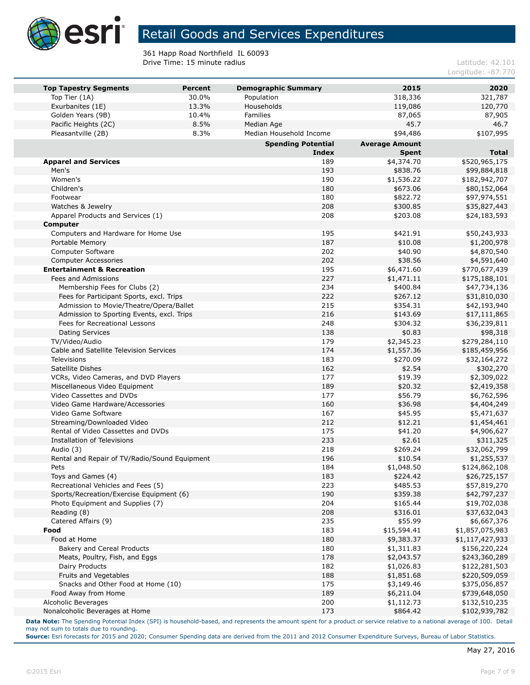

361 Happ Road Northfield IL 60093 **Drive Time: 15 minute radius Latitude: 42.101 Latitude: 42.101** 

Longitude: -87.770

| <b>Top Tapestry Segments</b>                  | <b>Percent</b> | <b>Demographic Summary</b> | 2015                      | 2020                             |
|-----------------------------------------------|----------------|----------------------------|---------------------------|----------------------------------|
| Top Tier (1A)                                 | 30.0%          | Population                 | 318,336                   | 321,787                          |
| Exurbanites (1E)                              | 13.3%          | Households                 | 119,086                   | 120,770                          |
| Golden Years (9B)                             | 10.4%          | Families                   | 87,065                    | 87,905                           |
| Pacific Heights (2C)                          | 8.5%           | Median Age                 | 45.7                      | 46.7                             |
| Pleasantville (2B)                            | 8.3%           | Median Household Income    | \$94,486                  | \$107,995                        |
|                                               |                | <b>Spending Potential</b>  | <b>Average Amount</b>     |                                  |
|                                               |                | <b>Index</b>               | <b>Spent</b>              | <b>Total</b>                     |
| <b>Apparel and Services</b>                   |                | 189                        | \$4,374.70                | \$520,965,175                    |
| Men's                                         |                | 193                        | \$838.76                  | \$99,884,818                     |
| Women's                                       |                | 190                        | \$1,536.22                | \$182,942,707                    |
| Children's                                    |                | 180                        | \$673.06                  | \$80,152,064                     |
| Footwear<br>Watches & Jewelry                 |                | 180<br>208                 | \$822.72<br>\$300.85      | \$97,974,551                     |
|                                               |                | 208                        | \$203.08                  | \$35,827,443                     |
| Apparel Products and Services (1)<br>Computer |                |                            |                           | \$24,183,593                     |
| Computers and Hardware for Home Use           |                | 195                        | \$421.91                  | \$50,243,933                     |
| Portable Memory                               |                | 187                        | \$10.08                   | \$1,200,978                      |
| <b>Computer Software</b>                      |                | 202                        | \$40.90                   | \$4,870,540                      |
| <b>Computer Accessories</b>                   |                | 202                        | \$38.56                   | \$4,591,640                      |
| <b>Entertainment &amp; Recreation</b>         |                | 195                        | \$6,471.60                | \$770,677,439                    |
| Fees and Admissions                           |                | 227                        | \$1,471.11                | \$175,188,101                    |
| Membership Fees for Clubs (2)                 |                | 234                        | \$400.84                  | \$47,734,136                     |
| Fees for Participant Sports, excl. Trips      |                | 222                        | \$267.12                  | \$31,810,030                     |
| Admission to Movie/Theatre/Opera/Ballet       |                | 215                        | \$354.31                  | \$42,193,940                     |
| Admission to Sporting Events, excl. Trips     |                | 216                        | \$143.69                  | \$17,111,865                     |
| Fees for Recreational Lessons                 |                | 248                        | \$304.32                  | \$36,239,811                     |
| <b>Dating Services</b>                        |                | 138                        | \$0.83                    | \$98,318                         |
| TV/Video/Audio                                |                | 179                        | \$2,345.23                | \$279,284,110                    |
| Cable and Satellite Television Services       |                | 174                        | \$1,557.36                | \$185,459,956                    |
| Televisions                                   |                | 183                        | \$270.09                  | \$32,164,272                     |
| Satellite Dishes                              |                | 162                        | \$2.54                    | \$302,270                        |
| VCRs, Video Cameras, and DVD Players          |                | 177                        | \$19.39                   | \$2,309,022                      |
| Miscellaneous Video Equipment                 |                | 189                        | \$20.32                   | \$2,419,358                      |
| Video Cassettes and DVDs                      |                | 177                        | \$56.79                   | \$6,762,596                      |
| Video Game Hardware/Accessories               |                | 160                        | \$36.98                   | \$4,404,249                      |
| Video Game Software                           |                | 167                        | \$45.95                   | \$5,471,637                      |
| Streaming/Downloaded Video                    |                | 212                        | \$12.21                   | \$1,454,461                      |
| Rental of Video Cassettes and DVDs            |                | 175                        | \$41.20                   | \$4,906,627                      |
| <b>Installation of Televisions</b>            |                | 233                        | \$2.61                    | \$311,325                        |
| Audio (3)                                     |                | 218                        | \$269.24                  | \$32,062,799                     |
| Rental and Repair of TV/Radio/Sound Equipment |                | 196                        | \$10.54                   | \$1,255,537                      |
| Pets                                          |                | 184                        | \$1,048.50                | \$124,862,108                    |
| Toys and Games (4)                            |                | 183                        | \$224.42                  | \$26,725,157                     |
| Recreational Vehicles and Fees (5)            |                | 223                        | \$485.53                  | \$57,819,270                     |
| Sports/Recreation/Exercise Equipment (6)      |                | 190                        | \$359.38                  | \$42,797,237                     |
| Photo Equipment and Supplies (7)              |                | 204                        | \$165.44                  | \$19,702,038                     |
| Reading (8)                                   |                | 208                        | \$316.01                  | \$37,632,043                     |
| Catered Affairs (9)                           |                | 235<br>183                 | \$55.99                   | \$6,667,376<br>\$1,857,075,983   |
| Food<br>Food at Home                          |                | 180                        | \$15,594.41<br>\$9,383.37 |                                  |
| <b>Bakery and Cereal Products</b>             |                | 180                        | \$1,311.83                | \$1,117,427,933<br>\$156,220,224 |
| Meats, Poultry, Fish, and Eggs                |                | 178                        | \$2,043.57                | \$243,360,289                    |
| Dairy Products                                |                | 182                        | \$1,026.83                | \$122,281,503                    |
| Fruits and Vegetables                         |                | 188                        | \$1,851.68                | \$220,509,059                    |
| Snacks and Other Food at Home (10)            |                | 175                        | \$3,149.46                | \$375,056,857                    |
| Food Away from Home                           |                | 189                        | \$6,211.04                | \$739,648,050                    |
| Alcoholic Beverages                           |                | 200                        | \$1,112.73                | \$132,510,235                    |
| Nonalcoholic Beverages at Home                |                | 173                        | \$864.42                  | \$102,939,782                    |
|                                               |                |                            |                           |                                  |

**Data Note:** The Spending Potential Index (SPI) is household-based, and represents the amount spent for a product or service relative to a national average of 100. Detail may not sum to totals due to rounding.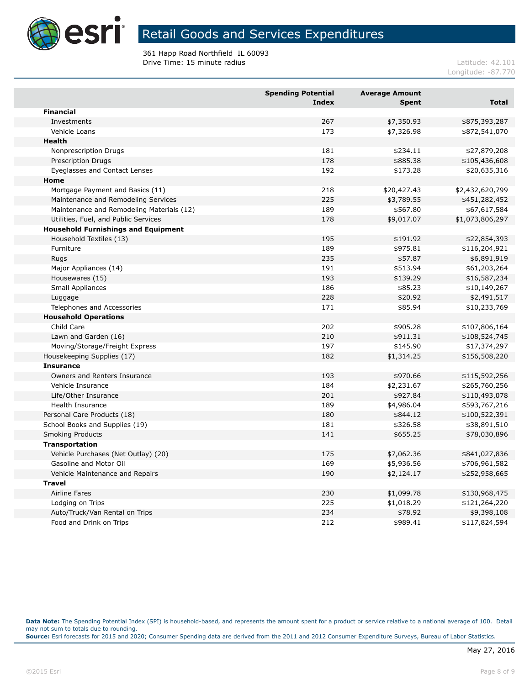

361 Happ Road Northfield IL 60093 **Drive Time: 15 minute radius Latitude: 42.101 Latitude: 42.101** 

Longitude: -87.770

| <b>Financial</b><br>267<br>\$7,350.93<br>\$875,393,287<br>Investments<br>173<br>Vehicle Loans<br>\$7,326.98<br>\$872,541,070<br><b>Health</b><br>Nonprescription Drugs<br>181<br>\$234.11<br>\$27,879,208<br>\$885.38<br>Prescription Drugs<br>178<br>\$105,436,608<br>192<br>\$173.28<br>Eyeglasses and Contact Lenses<br>\$20,635,316<br>Home<br>218<br>\$20,427.43<br>\$2,432,620,799<br>Mortgage Payment and Basics (11)<br>225<br>\$3,789.55<br>Maintenance and Remodeling Services<br>\$451,282,452<br>Maintenance and Remodeling Materials (12)<br>189<br>\$567.80<br>\$67,617,584<br>\$9,017.07<br>Utilities, Fuel, and Public Services<br>178<br>\$1,073,806,297<br><b>Household Furnishings and Equipment</b><br>195<br>\$191.92<br>\$22,854,393<br>Household Textiles (13)<br>Furniture<br>189<br>\$975.81<br>\$116,204,921<br>235<br>\$57.87<br>\$6,891,919<br>Rugs<br>Major Appliances (14)<br>191<br>\$513.94<br>\$61,203,264<br>Housewares (15)<br>193<br>\$139.29<br>\$16,587,234<br><b>Small Appliances</b><br>186<br>\$85.23<br>\$10,149,267<br>228<br>\$20.92<br>\$2,491,517<br>Luggage<br>Telephones and Accessories<br>171<br>\$85.94<br>\$10,233,769<br><b>Household Operations</b><br>Child Care<br>202<br>\$905.28<br>\$107,806,164<br>Lawn and Garden (16)<br>210<br>\$911.31<br>\$108,524,745<br>197<br>\$145.90<br>Moving/Storage/Freight Express<br>\$17,374,297<br>182<br>\$1,314.25<br>Housekeeping Supplies (17)<br>\$156,508,220<br><b>Insurance</b><br>Owners and Renters Insurance<br>193<br>\$970.66<br>\$115,592,256<br>184<br>\$2,231.67<br>Vehicle Insurance<br>\$265,760,256<br>201<br>Life/Other Insurance<br>\$927.84<br>\$110,493,078<br><b>Health Insurance</b><br>189<br>\$4,986.04<br>\$593,767,216<br>Personal Care Products (18)<br>180<br>\$844.12<br>\$100,522,391<br>181<br>\$326.58<br>\$38,891,510<br>School Books and Supplies (19)<br><b>Smoking Products</b><br>141<br>\$655.25<br>\$78,030,896<br><b>Transportation</b><br>Vehicle Purchases (Net Outlay) (20)<br>175<br>\$7,062.36<br>\$841,027,836<br>Gasoline and Motor Oil<br>169<br>\$5,936.56<br>\$706,961,582<br>190<br>Vehicle Maintenance and Repairs<br>\$2,124.17<br>\$252,958,665<br><b>Travel</b><br><b>Airline Fares</b><br>230<br>\$1,099.78<br>\$130,968,475<br>225<br>\$1,018.29<br>\$121,264,220<br>Lodging on Trips<br>234<br>\$78.92<br>Auto/Truck/Van Rental on Trips<br>\$9,398,108 |                         | <b>Spending Potential</b><br><b>Index</b> | <b>Average Amount</b><br><b>Spent</b> | <b>Total</b>  |
|-------------------------------------------------------------------------------------------------------------------------------------------------------------------------------------------------------------------------------------------------------------------------------------------------------------------------------------------------------------------------------------------------------------------------------------------------------------------------------------------------------------------------------------------------------------------------------------------------------------------------------------------------------------------------------------------------------------------------------------------------------------------------------------------------------------------------------------------------------------------------------------------------------------------------------------------------------------------------------------------------------------------------------------------------------------------------------------------------------------------------------------------------------------------------------------------------------------------------------------------------------------------------------------------------------------------------------------------------------------------------------------------------------------------------------------------------------------------------------------------------------------------------------------------------------------------------------------------------------------------------------------------------------------------------------------------------------------------------------------------------------------------------------------------------------------------------------------------------------------------------------------------------------------------------------------------------------------------------------------------------------------------------------------------------------------------------------------------------------------------------------------------------------------------------------------------------------------------------------------------------------------------------------------------------------------------------------------------------------------------------------------------------------------------|-------------------------|-------------------------------------------|---------------------------------------|---------------|
|                                                                                                                                                                                                                                                                                                                                                                                                                                                                                                                                                                                                                                                                                                                                                                                                                                                                                                                                                                                                                                                                                                                                                                                                                                                                                                                                                                                                                                                                                                                                                                                                                                                                                                                                                                                                                                                                                                                                                                                                                                                                                                                                                                                                                                                                                                                                                                                                                   |                         |                                           |                                       |               |
|                                                                                                                                                                                                                                                                                                                                                                                                                                                                                                                                                                                                                                                                                                                                                                                                                                                                                                                                                                                                                                                                                                                                                                                                                                                                                                                                                                                                                                                                                                                                                                                                                                                                                                                                                                                                                                                                                                                                                                                                                                                                                                                                                                                                                                                                                                                                                                                                                   |                         |                                           |                                       |               |
|                                                                                                                                                                                                                                                                                                                                                                                                                                                                                                                                                                                                                                                                                                                                                                                                                                                                                                                                                                                                                                                                                                                                                                                                                                                                                                                                                                                                                                                                                                                                                                                                                                                                                                                                                                                                                                                                                                                                                                                                                                                                                                                                                                                                                                                                                                                                                                                                                   |                         |                                           |                                       |               |
|                                                                                                                                                                                                                                                                                                                                                                                                                                                                                                                                                                                                                                                                                                                                                                                                                                                                                                                                                                                                                                                                                                                                                                                                                                                                                                                                                                                                                                                                                                                                                                                                                                                                                                                                                                                                                                                                                                                                                                                                                                                                                                                                                                                                                                                                                                                                                                                                                   |                         |                                           |                                       |               |
|                                                                                                                                                                                                                                                                                                                                                                                                                                                                                                                                                                                                                                                                                                                                                                                                                                                                                                                                                                                                                                                                                                                                                                                                                                                                                                                                                                                                                                                                                                                                                                                                                                                                                                                                                                                                                                                                                                                                                                                                                                                                                                                                                                                                                                                                                                                                                                                                                   |                         |                                           |                                       |               |
|                                                                                                                                                                                                                                                                                                                                                                                                                                                                                                                                                                                                                                                                                                                                                                                                                                                                                                                                                                                                                                                                                                                                                                                                                                                                                                                                                                                                                                                                                                                                                                                                                                                                                                                                                                                                                                                                                                                                                                                                                                                                                                                                                                                                                                                                                                                                                                                                                   |                         |                                           |                                       |               |
|                                                                                                                                                                                                                                                                                                                                                                                                                                                                                                                                                                                                                                                                                                                                                                                                                                                                                                                                                                                                                                                                                                                                                                                                                                                                                                                                                                                                                                                                                                                                                                                                                                                                                                                                                                                                                                                                                                                                                                                                                                                                                                                                                                                                                                                                                                                                                                                                                   |                         |                                           |                                       |               |
|                                                                                                                                                                                                                                                                                                                                                                                                                                                                                                                                                                                                                                                                                                                                                                                                                                                                                                                                                                                                                                                                                                                                                                                                                                                                                                                                                                                                                                                                                                                                                                                                                                                                                                                                                                                                                                                                                                                                                                                                                                                                                                                                                                                                                                                                                                                                                                                                                   |                         |                                           |                                       |               |
|                                                                                                                                                                                                                                                                                                                                                                                                                                                                                                                                                                                                                                                                                                                                                                                                                                                                                                                                                                                                                                                                                                                                                                                                                                                                                                                                                                                                                                                                                                                                                                                                                                                                                                                                                                                                                                                                                                                                                                                                                                                                                                                                                                                                                                                                                                                                                                                                                   |                         |                                           |                                       |               |
|                                                                                                                                                                                                                                                                                                                                                                                                                                                                                                                                                                                                                                                                                                                                                                                                                                                                                                                                                                                                                                                                                                                                                                                                                                                                                                                                                                                                                                                                                                                                                                                                                                                                                                                                                                                                                                                                                                                                                                                                                                                                                                                                                                                                                                                                                                                                                                                                                   |                         |                                           |                                       |               |
|                                                                                                                                                                                                                                                                                                                                                                                                                                                                                                                                                                                                                                                                                                                                                                                                                                                                                                                                                                                                                                                                                                                                                                                                                                                                                                                                                                                                                                                                                                                                                                                                                                                                                                                                                                                                                                                                                                                                                                                                                                                                                                                                                                                                                                                                                                                                                                                                                   |                         |                                           |                                       |               |
|                                                                                                                                                                                                                                                                                                                                                                                                                                                                                                                                                                                                                                                                                                                                                                                                                                                                                                                                                                                                                                                                                                                                                                                                                                                                                                                                                                                                                                                                                                                                                                                                                                                                                                                                                                                                                                                                                                                                                                                                                                                                                                                                                                                                                                                                                                                                                                                                                   |                         |                                           |                                       |               |
|                                                                                                                                                                                                                                                                                                                                                                                                                                                                                                                                                                                                                                                                                                                                                                                                                                                                                                                                                                                                                                                                                                                                                                                                                                                                                                                                                                                                                                                                                                                                                                                                                                                                                                                                                                                                                                                                                                                                                                                                                                                                                                                                                                                                                                                                                                                                                                                                                   |                         |                                           |                                       |               |
|                                                                                                                                                                                                                                                                                                                                                                                                                                                                                                                                                                                                                                                                                                                                                                                                                                                                                                                                                                                                                                                                                                                                                                                                                                                                                                                                                                                                                                                                                                                                                                                                                                                                                                                                                                                                                                                                                                                                                                                                                                                                                                                                                                                                                                                                                                                                                                                                                   |                         |                                           |                                       |               |
|                                                                                                                                                                                                                                                                                                                                                                                                                                                                                                                                                                                                                                                                                                                                                                                                                                                                                                                                                                                                                                                                                                                                                                                                                                                                                                                                                                                                                                                                                                                                                                                                                                                                                                                                                                                                                                                                                                                                                                                                                                                                                                                                                                                                                                                                                                                                                                                                                   |                         |                                           |                                       |               |
|                                                                                                                                                                                                                                                                                                                                                                                                                                                                                                                                                                                                                                                                                                                                                                                                                                                                                                                                                                                                                                                                                                                                                                                                                                                                                                                                                                                                                                                                                                                                                                                                                                                                                                                                                                                                                                                                                                                                                                                                                                                                                                                                                                                                                                                                                                                                                                                                                   |                         |                                           |                                       |               |
|                                                                                                                                                                                                                                                                                                                                                                                                                                                                                                                                                                                                                                                                                                                                                                                                                                                                                                                                                                                                                                                                                                                                                                                                                                                                                                                                                                                                                                                                                                                                                                                                                                                                                                                                                                                                                                                                                                                                                                                                                                                                                                                                                                                                                                                                                                                                                                                                                   |                         |                                           |                                       |               |
|                                                                                                                                                                                                                                                                                                                                                                                                                                                                                                                                                                                                                                                                                                                                                                                                                                                                                                                                                                                                                                                                                                                                                                                                                                                                                                                                                                                                                                                                                                                                                                                                                                                                                                                                                                                                                                                                                                                                                                                                                                                                                                                                                                                                                                                                                                                                                                                                                   |                         |                                           |                                       |               |
|                                                                                                                                                                                                                                                                                                                                                                                                                                                                                                                                                                                                                                                                                                                                                                                                                                                                                                                                                                                                                                                                                                                                                                                                                                                                                                                                                                                                                                                                                                                                                                                                                                                                                                                                                                                                                                                                                                                                                                                                                                                                                                                                                                                                                                                                                                                                                                                                                   |                         |                                           |                                       |               |
|                                                                                                                                                                                                                                                                                                                                                                                                                                                                                                                                                                                                                                                                                                                                                                                                                                                                                                                                                                                                                                                                                                                                                                                                                                                                                                                                                                                                                                                                                                                                                                                                                                                                                                                                                                                                                                                                                                                                                                                                                                                                                                                                                                                                                                                                                                                                                                                                                   |                         |                                           |                                       |               |
|                                                                                                                                                                                                                                                                                                                                                                                                                                                                                                                                                                                                                                                                                                                                                                                                                                                                                                                                                                                                                                                                                                                                                                                                                                                                                                                                                                                                                                                                                                                                                                                                                                                                                                                                                                                                                                                                                                                                                                                                                                                                                                                                                                                                                                                                                                                                                                                                                   |                         |                                           |                                       |               |
|                                                                                                                                                                                                                                                                                                                                                                                                                                                                                                                                                                                                                                                                                                                                                                                                                                                                                                                                                                                                                                                                                                                                                                                                                                                                                                                                                                                                                                                                                                                                                                                                                                                                                                                                                                                                                                                                                                                                                                                                                                                                                                                                                                                                                                                                                                                                                                                                                   |                         |                                           |                                       |               |
|                                                                                                                                                                                                                                                                                                                                                                                                                                                                                                                                                                                                                                                                                                                                                                                                                                                                                                                                                                                                                                                                                                                                                                                                                                                                                                                                                                                                                                                                                                                                                                                                                                                                                                                                                                                                                                                                                                                                                                                                                                                                                                                                                                                                                                                                                                                                                                                                                   |                         |                                           |                                       |               |
|                                                                                                                                                                                                                                                                                                                                                                                                                                                                                                                                                                                                                                                                                                                                                                                                                                                                                                                                                                                                                                                                                                                                                                                                                                                                                                                                                                                                                                                                                                                                                                                                                                                                                                                                                                                                                                                                                                                                                                                                                                                                                                                                                                                                                                                                                                                                                                                                                   |                         |                                           |                                       |               |
|                                                                                                                                                                                                                                                                                                                                                                                                                                                                                                                                                                                                                                                                                                                                                                                                                                                                                                                                                                                                                                                                                                                                                                                                                                                                                                                                                                                                                                                                                                                                                                                                                                                                                                                                                                                                                                                                                                                                                                                                                                                                                                                                                                                                                                                                                                                                                                                                                   |                         |                                           |                                       |               |
|                                                                                                                                                                                                                                                                                                                                                                                                                                                                                                                                                                                                                                                                                                                                                                                                                                                                                                                                                                                                                                                                                                                                                                                                                                                                                                                                                                                                                                                                                                                                                                                                                                                                                                                                                                                                                                                                                                                                                                                                                                                                                                                                                                                                                                                                                                                                                                                                                   |                         |                                           |                                       |               |
|                                                                                                                                                                                                                                                                                                                                                                                                                                                                                                                                                                                                                                                                                                                                                                                                                                                                                                                                                                                                                                                                                                                                                                                                                                                                                                                                                                                                                                                                                                                                                                                                                                                                                                                                                                                                                                                                                                                                                                                                                                                                                                                                                                                                                                                                                                                                                                                                                   |                         |                                           |                                       |               |
|                                                                                                                                                                                                                                                                                                                                                                                                                                                                                                                                                                                                                                                                                                                                                                                                                                                                                                                                                                                                                                                                                                                                                                                                                                                                                                                                                                                                                                                                                                                                                                                                                                                                                                                                                                                                                                                                                                                                                                                                                                                                                                                                                                                                                                                                                                                                                                                                                   |                         |                                           |                                       |               |
|                                                                                                                                                                                                                                                                                                                                                                                                                                                                                                                                                                                                                                                                                                                                                                                                                                                                                                                                                                                                                                                                                                                                                                                                                                                                                                                                                                                                                                                                                                                                                                                                                                                                                                                                                                                                                                                                                                                                                                                                                                                                                                                                                                                                                                                                                                                                                                                                                   |                         |                                           |                                       |               |
|                                                                                                                                                                                                                                                                                                                                                                                                                                                                                                                                                                                                                                                                                                                                                                                                                                                                                                                                                                                                                                                                                                                                                                                                                                                                                                                                                                                                                                                                                                                                                                                                                                                                                                                                                                                                                                                                                                                                                                                                                                                                                                                                                                                                                                                                                                                                                                                                                   |                         |                                           |                                       |               |
|                                                                                                                                                                                                                                                                                                                                                                                                                                                                                                                                                                                                                                                                                                                                                                                                                                                                                                                                                                                                                                                                                                                                                                                                                                                                                                                                                                                                                                                                                                                                                                                                                                                                                                                                                                                                                                                                                                                                                                                                                                                                                                                                                                                                                                                                                                                                                                                                                   |                         |                                           |                                       |               |
|                                                                                                                                                                                                                                                                                                                                                                                                                                                                                                                                                                                                                                                                                                                                                                                                                                                                                                                                                                                                                                                                                                                                                                                                                                                                                                                                                                                                                                                                                                                                                                                                                                                                                                                                                                                                                                                                                                                                                                                                                                                                                                                                                                                                                                                                                                                                                                                                                   |                         |                                           |                                       |               |
|                                                                                                                                                                                                                                                                                                                                                                                                                                                                                                                                                                                                                                                                                                                                                                                                                                                                                                                                                                                                                                                                                                                                                                                                                                                                                                                                                                                                                                                                                                                                                                                                                                                                                                                                                                                                                                                                                                                                                                                                                                                                                                                                                                                                                                                                                                                                                                                                                   |                         |                                           |                                       |               |
|                                                                                                                                                                                                                                                                                                                                                                                                                                                                                                                                                                                                                                                                                                                                                                                                                                                                                                                                                                                                                                                                                                                                                                                                                                                                                                                                                                                                                                                                                                                                                                                                                                                                                                                                                                                                                                                                                                                                                                                                                                                                                                                                                                                                                                                                                                                                                                                                                   |                         |                                           |                                       |               |
|                                                                                                                                                                                                                                                                                                                                                                                                                                                                                                                                                                                                                                                                                                                                                                                                                                                                                                                                                                                                                                                                                                                                                                                                                                                                                                                                                                                                                                                                                                                                                                                                                                                                                                                                                                                                                                                                                                                                                                                                                                                                                                                                                                                                                                                                                                                                                                                                                   |                         |                                           |                                       |               |
|                                                                                                                                                                                                                                                                                                                                                                                                                                                                                                                                                                                                                                                                                                                                                                                                                                                                                                                                                                                                                                                                                                                                                                                                                                                                                                                                                                                                                                                                                                                                                                                                                                                                                                                                                                                                                                                                                                                                                                                                                                                                                                                                                                                                                                                                                                                                                                                                                   |                         |                                           |                                       |               |
|                                                                                                                                                                                                                                                                                                                                                                                                                                                                                                                                                                                                                                                                                                                                                                                                                                                                                                                                                                                                                                                                                                                                                                                                                                                                                                                                                                                                                                                                                                                                                                                                                                                                                                                                                                                                                                                                                                                                                                                                                                                                                                                                                                                                                                                                                                                                                                                                                   |                         |                                           |                                       |               |
|                                                                                                                                                                                                                                                                                                                                                                                                                                                                                                                                                                                                                                                                                                                                                                                                                                                                                                                                                                                                                                                                                                                                                                                                                                                                                                                                                                                                                                                                                                                                                                                                                                                                                                                                                                                                                                                                                                                                                                                                                                                                                                                                                                                                                                                                                                                                                                                                                   |                         |                                           |                                       |               |
|                                                                                                                                                                                                                                                                                                                                                                                                                                                                                                                                                                                                                                                                                                                                                                                                                                                                                                                                                                                                                                                                                                                                                                                                                                                                                                                                                                                                                                                                                                                                                                                                                                                                                                                                                                                                                                                                                                                                                                                                                                                                                                                                                                                                                                                                                                                                                                                                                   |                         |                                           |                                       |               |
|                                                                                                                                                                                                                                                                                                                                                                                                                                                                                                                                                                                                                                                                                                                                                                                                                                                                                                                                                                                                                                                                                                                                                                                                                                                                                                                                                                                                                                                                                                                                                                                                                                                                                                                                                                                                                                                                                                                                                                                                                                                                                                                                                                                                                                                                                                                                                                                                                   |                         |                                           |                                       |               |
|                                                                                                                                                                                                                                                                                                                                                                                                                                                                                                                                                                                                                                                                                                                                                                                                                                                                                                                                                                                                                                                                                                                                                                                                                                                                                                                                                                                                                                                                                                                                                                                                                                                                                                                                                                                                                                                                                                                                                                                                                                                                                                                                                                                                                                                                                                                                                                                                                   |                         |                                           |                                       |               |
|                                                                                                                                                                                                                                                                                                                                                                                                                                                                                                                                                                                                                                                                                                                                                                                                                                                                                                                                                                                                                                                                                                                                                                                                                                                                                                                                                                                                                                                                                                                                                                                                                                                                                                                                                                                                                                                                                                                                                                                                                                                                                                                                                                                                                                                                                                                                                                                                                   |                         |                                           |                                       |               |
|                                                                                                                                                                                                                                                                                                                                                                                                                                                                                                                                                                                                                                                                                                                                                                                                                                                                                                                                                                                                                                                                                                                                                                                                                                                                                                                                                                                                                                                                                                                                                                                                                                                                                                                                                                                                                                                                                                                                                                                                                                                                                                                                                                                                                                                                                                                                                                                                                   | Food and Drink on Trips | 212                                       | \$989.41                              | \$117,824,594 |

**Data Note:** The Spending Potential Index (SPI) is household-based, and represents the amount spent for a product or service relative to a national average of 100. Detail may not sum to totals due to rounding.